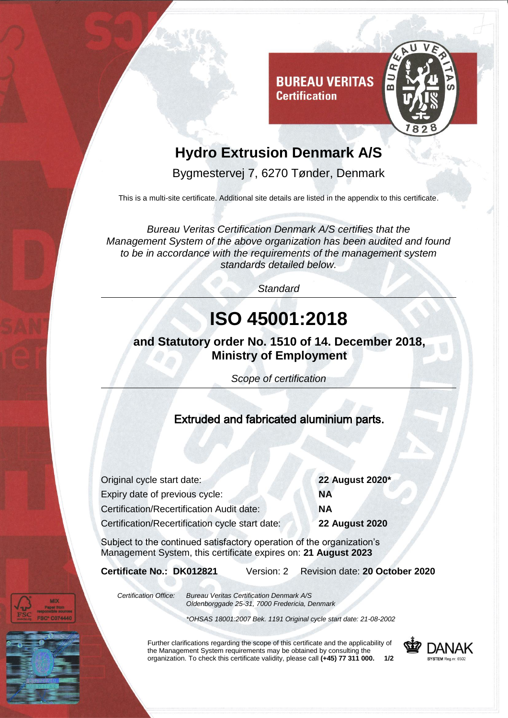

## **Hydro Extrusion Denmark A/S**

**Certification** 

Bygmestervej 7, 6270 Tønder, Denmark

This is a multi-site certificate. Additional site details are listed in the appendix to this certificate.

*Bureau Veritas Certification Denmark A/S certifies that the Management System of the above organization has been audited and found to be in accordance with the requirements of the management system standards detailed below.*

*Standard*

# **ISO 45001:2018**

### **and Statutory order No. 1510 of 14. December 2018, Ministry of Employment**

*Scope of certification*

#### Extruded and fabricated aluminium parts.

Original cycle start date: **22 August 2020\*** Expiry date of previous cycle: **NA** Certification/Recertification Audit date: **NA** Certification/Recertification cycle start date: **22 August 2020**

Subject to the continued satisfactory operation of the organization's Management System, this certificate expires on: **21 August 2023**

**Certificate No.: DK012821** Version: 2 Revision date: **20 October 2020**

*Certification Office: Bureau Veritas Certification Denmark A/S Oldenborggade 25-31, 7000 Fredericia, Denmark*

*\*OHSAS 18001:2007 Bek. 1191 Original cycle start date: 21-08-2002*

Further clarifications regarding the scope of this certificate and the applicability of the Management System requirements may be obtained by consulting the organization. To check this certificate validity, please call **(+45) 77 311 000. 1/2**